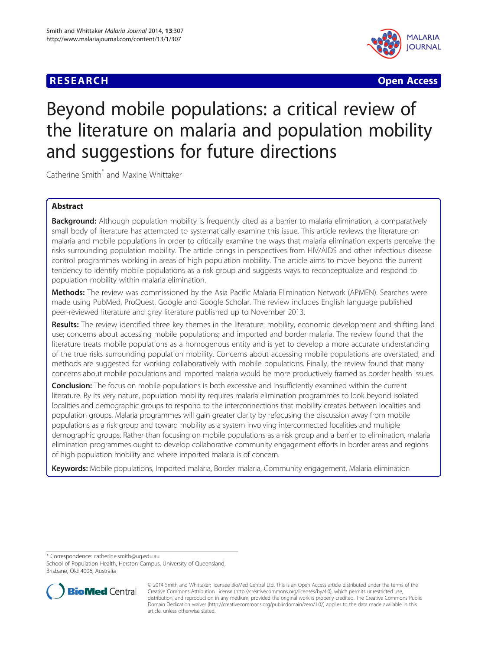## **RESEARCH CHEAR CHEAR CHEAR CHEAR CHEAR CHEAR CHEAR CHEAR CHEAR CHEAR CHEAR CHEAR CHEAR CHEAR CHEAR CHEAR CHEAR**



# Beyond mobile populations: a critical review of the literature on malaria and population mobility and suggestions for future directions

Catherine Smith\* and Maxine Whittaker

## Abstract

Background: Although population mobility is frequently cited as a barrier to malaria elimination, a comparatively small body of literature has attempted to systematically examine this issue. This article reviews the literature on malaria and mobile populations in order to critically examine the ways that malaria elimination experts perceive the risks surrounding population mobility. The article brings in perspectives from HIV/AIDS and other infectious disease control programmes working in areas of high population mobility. The article aims to move beyond the current tendency to identify mobile populations as a risk group and suggests ways to reconceptualize and respond to population mobility within malaria elimination.

Methods: The review was commissioned by the Asia Pacific Malaria Elimination Network (APMEN). Searches were made using PubMed, ProQuest, Google and Google Scholar. The review includes English language published peer-reviewed literature and grey literature published up to November 2013.

Results: The review identified three key themes in the literature: mobility, economic development and shifting land use; concerns about accessing mobile populations; and imported and border malaria. The review found that the literature treats mobile populations as a homogenous entity and is yet to develop a more accurate understanding of the true risks surrounding population mobility. Concerns about accessing mobile populations are overstated, and methods are suggested for working collaboratively with mobile populations. Finally, the review found that many concerns about mobile populations and imported malaria would be more productively framed as border health issues.

**Conclusion:** The focus on mobile populations is both excessive and insufficiently examined within the current literature. By its very nature, population mobility requires malaria elimination programmes to look beyond isolated localities and demographic groups to respond to the interconnections that mobility creates between localities and population groups. Malaria programmes will gain greater clarity by refocusing the discussion away from mobile populations as a risk group and toward mobility as a system involving interconnected localities and multiple demographic groups. Rather than focusing on mobile populations as a risk group and a barrier to elimination, malaria elimination programmes ought to develop collaborative community engagement efforts in border areas and regions of high population mobility and where imported malaria is of concern.

Keywords: Mobile populations, Imported malaria, Border malaria, Community engagement, Malaria elimination

\* Correspondence: [catherine.smith@uq.edu.au](mailto:catherine.smith@uq.edu.au)

School of Population Health, Herston Campus, University of Queensland, Brisbane, Qld 4006, Australia



<sup>© 2014</sup> Smith and Whittaker; licensee BioMed Central Ltd. This is an Open Access article distributed under the terms of the Creative Commons Attribution License (<http://creativecommons.org/licenses/by/4.0>), which permits unrestricted use, distribution, and reproduction in any medium, provided the original work is properly credited. The Creative Commons Public Domain Dedication waiver [\(http://creativecommons.org/publicdomain/zero/1.0/\)](http://creativecommons.org/publicdomain/zero/1.0/) applies to the data made available in this article, unless otherwise stated.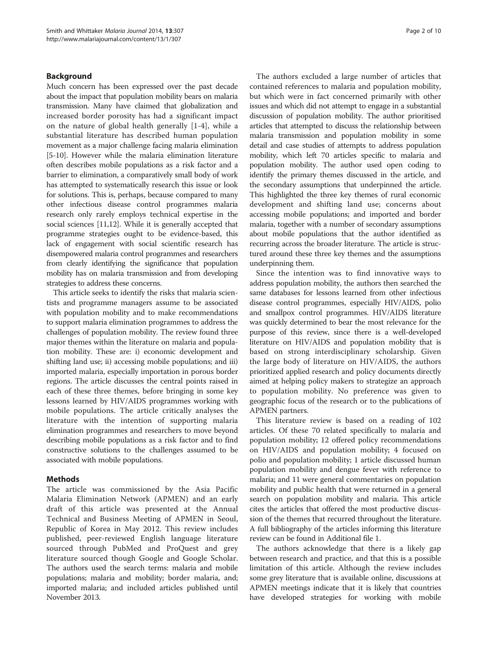## Background

Much concern has been expressed over the past decade about the impact that population mobility bears on malaria transmission. Many have claimed that globalization and increased border porosity has had a significant impact on the nature of global health generally [\[1](#page-7-0)-[4](#page-7-0)], while a substantial literature has described human population movement as a major challenge facing malaria elimination [[5-10\]](#page-7-0). However while the malaria elimination literature often describes mobile populations as a risk factor and a barrier to elimination, a comparatively small body of work has attempted to systematically research this issue or look for solutions. This is, perhaps, because compared to many other infectious disease control programmes malaria research only rarely employs technical expertise in the social sciences [\[11,12\]](#page-7-0). While it is generally accepted that programme strategies ought to be evidence-based, this lack of engagement with social scientific research has disempowered malaria control programmes and researchers from clearly identifying the significance that population mobility has on malaria transmission and from developing strategies to address these concerns.

This article seeks to identify the risks that malaria scientists and programme managers assume to be associated with population mobility and to make recommendations to support malaria elimination programmes to address the challenges of population mobility. The review found three major themes within the literature on malaria and population mobility. These are: i) economic development and shifting land use; ii) accessing mobile populations; and iii) imported malaria, especially importation in porous border regions. The article discusses the central points raised in each of these three themes, before bringing in some key lessons learned by HIV/AIDS programmes working with mobile populations. The article critically analyses the literature with the intention of supporting malaria elimination programmes and researchers to move beyond describing mobile populations as a risk factor and to find constructive solutions to the challenges assumed to be associated with mobile populations.

## Methods

The article was commissioned by the Asia Pacific Malaria Elimination Network (APMEN) and an early draft of this article was presented at the Annual Technical and Business Meeting of APMEN in Seoul, Republic of Korea in May 2012. This review includes published, peer-reviewed English language literature sourced through PubMed and ProQuest and grey literature sourced though Google and Google Scholar. The authors used the search terms: malaria and mobile populations; malaria and mobility; border malaria, and; imported malaria; and included articles published until November 2013.

The authors excluded a large number of articles that contained references to malaria and population mobility, but which were in fact concerned primarily with other issues and which did not attempt to engage in a substantial discussion of population mobility. The author prioritised articles that attempted to discuss the relationship between malaria transmission and population mobility in some detail and case studies of attempts to address population mobility, which left 70 articles specific to malaria and population mobility. The author used open coding to identify the primary themes discussed in the article, and the secondary assumptions that underpinned the article. This highlighted the three key themes of rural economic development and shifting land use; concerns about accessing mobile populations; and imported and border malaria, together with a number of secondary assumptions about mobile populations that the author identified as recurring across the broader literature. The article is structured around these three key themes and the assumptions underpinning them.

Since the intention was to find innovative ways to address population mobility, the authors then searched the same databases for lessons learned from other infectious disease control programmes, especially HIV/AIDS, polio and smallpox control programmes. HIV/AIDS literature was quickly determined to bear the most relevance for the purpose of this review, since there is a well-developed literature on HIV/AIDS and population mobility that is based on strong interdisciplinary scholarship. Given the large body of literature on HIV/AIDS, the authors prioritized applied research and policy documents directly aimed at helping policy makers to strategize an approach to population mobility. No preference was given to geographic focus of the research or to the publications of APMEN partners.

This literature review is based on a reading of 102 articles. Of these 70 related specifically to malaria and population mobility; 12 offered policy recommendations on HIV/AIDS and population mobility; 4 focused on polio and population mobility; 1 article discussed human population mobility and dengue fever with reference to malaria; and 11 were general commentaries on population mobility and public health that were returned in a general search on population mobility and malaria. This article cites the articles that offered the most productive discussion of the themes that recurred throughout the literature. A full bibliography of the articles informing this literature review can be found in Additional file [1.](#page-7-0)

The authors acknowledge that there is a likely gap between research and practice, and that this is a possible limitation of this article. Although the review includes some grey literature that is available online, discussions at APMEN meetings indicate that it is likely that countries have developed strategies for working with mobile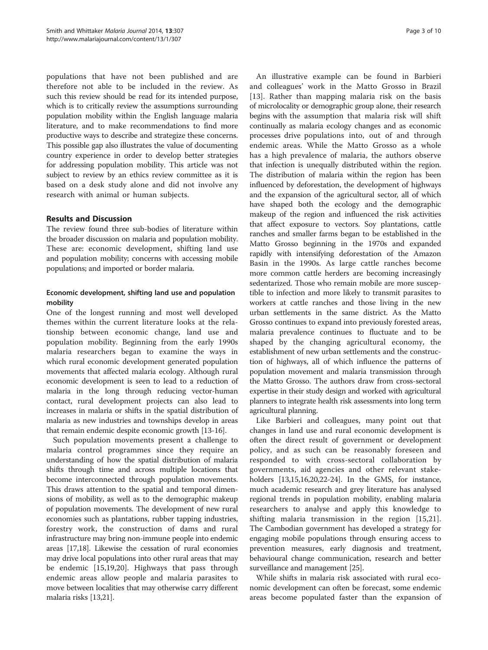populations that have not been published and are therefore not able to be included in the review. As such this review should be read for its intended purpose, which is to critically review the assumptions surrounding population mobility within the English language malaria literature, and to make recommendations to find more productive ways to describe and strategize these concerns. This possible gap also illustrates the value of documenting country experience in order to develop better strategies for addressing population mobility. This article was not subject to review by an ethics review committee as it is based on a desk study alone and did not involve any research with animal or human subjects.

## Results and Discussion

The review found three sub-bodies of literature within the broader discussion on malaria and population mobility. These are: economic development, shifting land use and population mobility; concerns with accessing mobile populations; and imported or border malaria.

#### Economic development, shifting land use and population mobility

One of the longest running and most well developed themes within the current literature looks at the relationship between economic change, land use and population mobility. Beginning from the early 1990s malaria researchers began to examine the ways in which rural economic development generated population movements that affected malaria ecology. Although rural economic development is seen to lead to a reduction of malaria in the long through reducing vector-human contact, rural development projects can also lead to increases in malaria or shifts in the spatial distribution of malaria as new industries and townships develop in areas that remain endemic despite economic growth [[13](#page-7-0)-[16\]](#page-7-0).

Such population movements present a challenge to malaria control programmes since they require an understanding of how the spatial distribution of malaria shifts through time and across multiple locations that become interconnected through population movements. This draws attention to the spatial and temporal dimensions of mobility, as well as to the demographic makeup of population movements. The development of new rural economies such as plantations, rubber tapping industries, forestry work, the construction of dams and rural infrastructure may bring non-immune people into endemic areas [[17,18\]](#page-7-0). Likewise the cessation of rural economies may drive local populations into other rural areas that may be endemic [[15,19,20](#page-7-0)]. Highways that pass through endemic areas allow people and malaria parasites to move between localities that may otherwise carry different malaria risks [\[13,21](#page-7-0)].

An illustrative example can be found in Barbieri and colleagues' work in the Matto Grosso in Brazil [[13\]](#page-7-0). Rather than mapping malaria risk on the basis of microlocality or demographic group alone, their research begins with the assumption that malaria risk will shift continually as malaria ecology changes and as economic processes drive populations into, out of and through endemic areas. While the Matto Grosso as a whole has a high prevalence of malaria, the authors observe that infection is unequally distributed within the region. The distribution of malaria within the region has been influenced by deforestation, the development of highways and the expansion of the agricultural sector, all of which have shaped both the ecology and the demographic makeup of the region and influenced the risk activities that affect exposure to vectors. Soy plantations, cattle ranches and smaller farms began to be established in the Matto Grosso beginning in the 1970s and expanded rapidly with intensifying deforestation of the Amazon Basin in the 1990s. As large cattle ranches become more common cattle herders are becoming increasingly sedentarized. Those who remain mobile are more susceptible to infection and more likely to transmit parasites to workers at cattle ranches and those living in the new urban settlements in the same district. As the Matto Grosso continues to expand into previously forested areas, malaria prevalence continues to fluctuate and to be shaped by the changing agricultural economy, the establishment of new urban settlements and the construction of highways, all of which influence the patterns of population movement and malaria transmission through the Matto Grosso. The authors draw from cross-sectoral expertise in their study design and worked with agricultural planners to integrate health risk assessments into long term agricultural planning.

Like Barbieri and colleagues, many point out that changes in land use and rural economic development is often the direct result of government or development policy, and as such can be reasonably foreseen and responded to with cross-sectoral collaboration by governments, aid agencies and other relevant stakeholders [\[13,15,16,20,22-24\]](#page-7-0). In the GMS, for instance, much academic research and grey literature has analysed regional trends in population mobility, enabling malaria researchers to analyse and apply this knowledge to shifting malaria transmission in the region [[15,21](#page-7-0)]. The Cambodian government has developed a strategy for engaging mobile populations through ensuring access to prevention measures, early diagnosis and treatment, behavioural change communication, research and better surveillance and management [\[25](#page-8-0)].

While shifts in malaria risk associated with rural economic development can often be forecast, some endemic areas become populated faster than the expansion of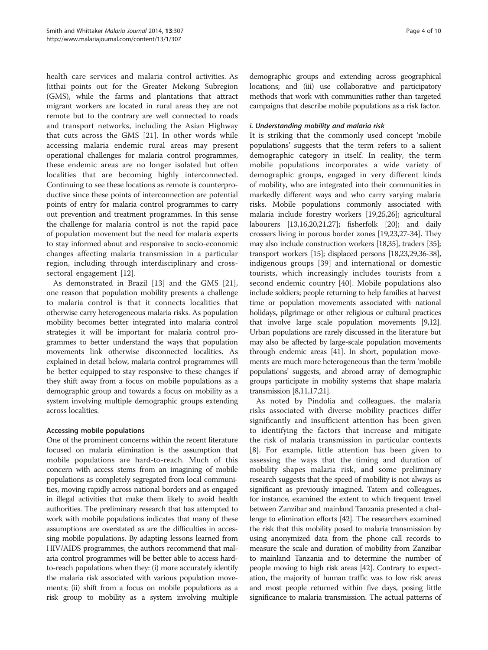health care services and malaria control activities. As Jitthai points out for the Greater Mekong Subregion (GMS), while the farms and plantations that attract migrant workers are located in rural areas they are not remote but to the contrary are well connected to roads and transport networks, including the Asian Highway that cuts across the GMS [[21\]](#page-7-0). In other words while accessing malaria endemic rural areas may present operational challenges for malaria control programmes, these endemic areas are no longer isolated but often localities that are becoming highly interconnected. Continuing to see these locations as remote is counterproductive since these points of interconnection are potential points of entry for malaria control programmes to carry out prevention and treatment programmes. In this sense the challenge for malaria control is not the rapid pace of population movement but the need for malaria experts to stay informed about and responsive to socio-economic changes affecting malaria transmission in a particular region, including through interdisciplinary and crosssectoral engagement [\[12](#page-7-0)].

As demonstrated in Brazil [\[13](#page-7-0)] and the GMS [[21](#page-7-0)], one reason that population mobility presents a challenge to malaria control is that it connects localities that otherwise carry heterogeneous malaria risks. As population mobility becomes better integrated into malaria control strategies it will be important for malaria control programmes to better understand the ways that population movements link otherwise disconnected localities. As explained in detail below, malaria control programmes will be better equipped to stay responsive to these changes if they shift away from a focus on mobile populations as a demographic group and towards a focus on mobility as a system involving multiple demographic groups extending across localities.

## Accessing mobile populations

One of the prominent concerns within the recent literature focused on malaria elimination is the assumption that mobile populations are hard-to-reach. Much of this concern with access stems from an imagining of mobile populations as completely segregated from local communities, moving rapidly across national borders and as engaged in illegal activities that make them likely to avoid health authorities. The preliminary research that has attempted to work with mobile populations indicates that many of these assumptions are overstated as are the difficulties in accessing mobile populations. By adapting lessons learned from HIV/AIDS programmes, the authors recommend that malaria control programmes will be better able to access hardto-reach populations when they: (i) more accurately identify the malaria risk associated with various population movements; (ii) shift from a focus on mobile populations as a risk group to mobility as a system involving multiple demographic groups and extending across geographical locations; and (iii) use collaborative and participatory methods that work with communities rather than targeted campaigns that describe mobile populations as a risk factor.

#### i. Understanding mobility and malaria risk

It is striking that the commonly used concept 'mobile populations' suggests that the term refers to a salient demographic category in itself. In reality, the term mobile populations incorporates a wide variety of demographic groups, engaged in very different kinds of mobility, who are integrated into their communities in markedly different ways and who carry varying malaria risks. Mobile populations commonly associated with malaria include forestry workers [\[19](#page-7-0)[,25,26\]](#page-8-0); agricultural labourers [[13,16,20,21](#page-7-0)[,27](#page-8-0)]; fisherfolk [[20\]](#page-7-0); and daily crossers living in porous border zones [\[19,23](#page-7-0)[,27](#page-8-0)-[34](#page-8-0)]. They may also include construction workers [[18,](#page-7-0)[35](#page-8-0)], traders [\[35](#page-8-0)]; transport workers [\[15\]](#page-7-0); displaced persons [\[18,23,](#page-7-0)[29,36-38](#page-8-0)], indigenous groups [\[39](#page-8-0)] and international or domestic tourists, which increasingly includes tourists from a second endemic country [[40\]](#page-8-0). Mobile populations also include soldiers; people returning to help families at harvest time or population movements associated with national holidays, pilgrimage or other religious or cultural practices that involve large scale population movements [\[9,12](#page-7-0)]. Urban populations are rarely discussed in the literature but may also be affected by large-scale population movements through endemic areas [[41](#page-8-0)]. In short, population movements are much more heterogeneous than the term 'mobile populations' suggests, and abroad array of demographic groups participate in mobility systems that shape malaria transmission [\[8,11,17,21\]](#page-7-0).

As noted by Pindolia and colleagues, the malaria risks associated with diverse mobility practices differ significantly and insufficient attention has been given to identifying the factors that increase and mitigate the risk of malaria transmission in particular contexts [[8](#page-7-0)]. For example, little attention has been given to assessing the ways that the timing and duration of mobility shapes malaria risk, and some preliminary research suggests that the speed of mobility is not always as significant as previously imagined. Tatem and colleagues, for instance, examined the extent to which frequent travel between Zanzibar and mainland Tanzania presented a challenge to elimination efforts [\[42\]](#page-8-0). The researchers examined the risk that this mobility posed to malaria transmission by using anonymized data from the phone call records to measure the scale and duration of mobility from Zanzibar to mainland Tanzania and to determine the number of people moving to high risk areas [\[42\]](#page-8-0). Contrary to expectation, the majority of human traffic was to low risk areas and most people returned within five days, posing little significance to malaria transmission. The actual patterns of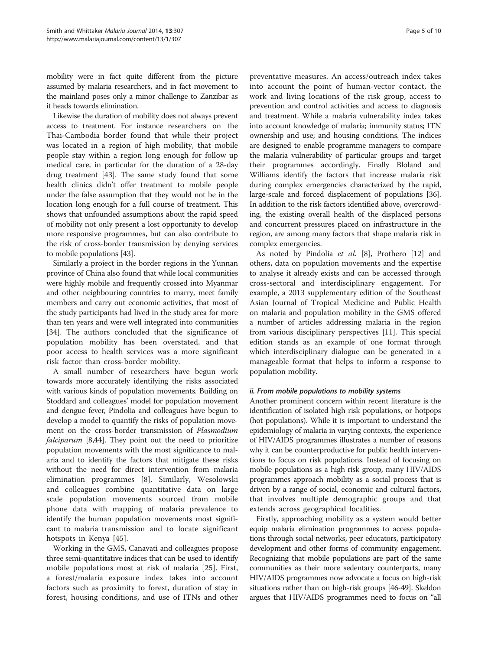mobility were in fact quite different from the picture assumed by malaria researchers, and in fact movement to the mainland poses only a minor challenge to Zanzibar as it heads towards elimination.

Likewise the duration of mobility does not always prevent access to treatment. For instance researchers on the Thai-Cambodia border found that while their project was located in a region of high mobility, that mobile people stay within a region long enough for follow up medical care, in particular for the duration of a 28-day drug treatment [[43](#page-8-0)]. The same study found that some health clinics didn't offer treatment to mobile people under the false assumption that they would not be in the location long enough for a full course of treatment. This shows that unfounded assumptions about the rapid speed of mobility not only present a lost opportunity to develop more responsive programmes, but can also contribute to the risk of cross-border transmission by denying services to mobile populations [\[43\]](#page-8-0).

Similarly a project in the border regions in the Yunnan province of China also found that while local communities were highly mobile and frequently crossed into Myanmar and other neighbouring countries to marry, meet family members and carry out economic activities, that most of the study participants had lived in the study area for more than ten years and were well integrated into communities [[34\]](#page-8-0). The authors concluded that the significance of population mobility has been overstated, and that poor access to health services was a more significant risk factor than cross-border mobility.

A small number of researchers have begun work towards more accurately identifying the risks associated with various kinds of population movements. Building on Stoddard and colleagues' model for population movement and dengue fever, Pindolia and colleagues have begun to develop a model to quantify the risks of population movement on the cross-border transmission of *Plasmodium* falciparum [[8,](#page-7-0)[44](#page-8-0)]. They point out the need to prioritize population movements with the most significance to malaria and to identify the factors that mitigate these risks without the need for direct intervention from malaria elimination programmes [\[8](#page-7-0)]. Similarly, Wesolowski and colleagues combine quantitative data on large scale population movements sourced from mobile phone data with mapping of malaria prevalence to identify the human population movements most significant to malaria transmission and to locate significant hotspots in Kenya [[45](#page-8-0)].

Working in the GMS, Canavati and colleagues propose three semi-quantitative indices that can be used to identify mobile populations most at risk of malaria [[25\]](#page-8-0). First, a forest/malaria exposure index takes into account factors such as proximity to forest, duration of stay in forest, housing conditions, and use of ITNs and other

preventative measures. An access/outreach index takes into account the point of human-vector contact, the work and living locations of the risk group, access to prevention and control activities and access to diagnosis and treatment. While a malaria vulnerability index takes into account knowledge of malaria; immunity status; ITN ownership and use; and housing conditions. The indices are designed to enable programme managers to compare the malaria vulnerability of particular groups and target their programmes accordingly. Finally Bloland and Williams identify the factors that increase malaria risk during complex emergencies characterized by the rapid, large-scale and forced displacement of populations [[36](#page-8-0)]. In addition to the risk factors identified above, overcrowding, the existing overall health of the displaced persons and concurrent pressures placed on infrastructure in the region, are among many factors that shape malaria risk in complex emergencies.

As noted by Pindolia et al. [\[8](#page-7-0)], Prothero [[12\]](#page-7-0) and others, data on population movements and the expertise to analyse it already exists and can be accessed through cross-sectoral and interdisciplinary engagement. For example, a 2013 supplementary edition of the Southeast Asian Journal of Tropical Medicine and Public Health on malaria and population mobility in the GMS offered a number of articles addressing malaria in the region from various disciplinary perspectives [[11\]](#page-7-0). This special edition stands as an example of one format through which interdisciplinary dialogue can be generated in a manageable format that helps to inform a response to population mobility.

#### ii. From mobile populations to mobility systems

Another prominent concern within recent literature is the identification of isolated high risk populations, or hotpops (hot populations). While it is important to understand the epidemiology of malaria in varying contexts, the experience of HIV/AIDS programmes illustrates a number of reasons why it can be counterproductive for public health interventions to focus on risk populations. Instead of focusing on mobile populations as a high risk group, many HIV/AIDS programmes approach mobility as a social process that is driven by a range of social, economic and cultural factors, that involves multiple demographic groups and that extends across geographical localities.

Firstly, approaching mobility as a system would better equip malaria elimination programmes to access populations through social networks, peer educators, participatory development and other forms of community engagement. Recognizing that mobile populations are part of the same communities as their more sedentary counterparts, many HIV/AIDS programmes now advocate a focus on high-risk situations rather than on high-risk groups [[46](#page-8-0)-[49\]](#page-8-0). Skeldon argues that HIV/AIDS programmes need to focus on "all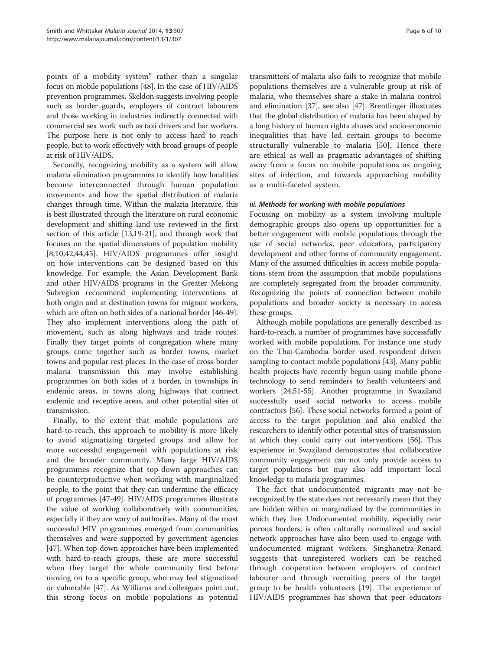points of a mobility system" rather than a singular focus on mobile populations [[48](#page-8-0)]. In the case of HIV/AIDS prevention programmes, Skeldon suggests involving people such as border guards, employers of contract labourers and those working in industries indirectly connected with commercial sex work such as taxi drivers and bar workers. The purpose here is not only to access hard to reach people, but to work effectively with broad groups of people at risk of HIV/AIDS.

Secondly, recognizing mobility as a system will allow malaria elimination programmes to identify how localities become interconnected through human population movements and how the spatial distribution of malaria changes through time. Within the malaria literature, this is best illustrated through the literature on rural economic development and shifting land use reviewed in the first section of this article [[13,19-21](#page-7-0)], and through work that focuses on the spatial dimensions of population mobility [[8,10](#page-7-0)[,42](#page-8-0),[44,45\]](#page-8-0). HIV/AIDS programmes offer insight on how interventions can be designed based on this knowledge. For example, the Asian Development Bank and other HIV/AIDS programs in the Greater Mekong Subregion recommend implementing interventions at both origin and at destination towns for migrant workers, which are often on both sides of a national border [[46](#page-8-0)-[49](#page-8-0)]. They also implement interventions along the path of movement, such as along highways and trade routes. Finally they target points of congregation where many groups come together such as border towns, market towns and popular rest places. In the case of cross-border malaria transmission this may involve establishing programmes on both sides of a border, in townships in endemic areas, in towns along highways that connect endemic and receptive areas, and other potential sites of transmission.

Finally, to the extent that mobile populations are hard-to-reach, this approach to mobility is more likely to avoid stigmatizing targeted groups and allow for more successful engagement with populations at risk and the broader community. Many large HIV/AIDS programmes recognize that top-down approaches can be counterproductive when working with marginalized people, to the point that they can undermine the efficacy of programmes [[47](#page-8-0)-[49](#page-8-0)]. HIV/AIDS programmes illustrate the value of working collaboratively with communities, especially if they are wary of authorities. Many of the most successful HIV programmes emerged from communities themselves and were supported by government agencies [[47](#page-8-0)]. When top-down approaches have been implemented with hard-to-reach groups, these are more successful when they target the whole community first before moving on to a specific group, who may feel stigmatized or vulnerable [[47\]](#page-8-0). As Williams and colleagues point out, this strong focus on mobile populations as potential

transmitters of malaria also fails to recognize that mobile populations themselves are a vulnerable group at risk of malaria, who themselves share a stake in malaria control and elimination [[37](#page-8-0)], see also [[47](#page-8-0)]. Brentlinger illustrates that the global distribution of malaria has been shaped by a long history of human rights abuses and socio-economic inequalities that have led certain groups to become structurally vulnerable to malaria [[50\]](#page-8-0). Hence there are ethical as well as pragmatic advantages of shifting away from a focus on mobile populations as ongoing sites of infection, and towards approaching mobility as a multi-faceted system.

#### iii. Methods for working with mobile populations

Focusing on mobility as a system involving multiple demographic groups also opens up opportunities for a better engagement with mobile populations through the use of social networks, peer educators, participatory development and other forms of community engagement. Many of the assumed difficulties in access mobile populations stem from the assumption that mobile populations are completely segregated from the broader community. Recognizing the points of connection between mobile populations and broader society is necessary to access these groups.

Although mobile populations are generally described as hard-to-reach, a number of programmes have successfully worked with mobile populations. For instance one study on the Thai-Cambodia border used respondent driven sampling to contact mobile populations [\[43\]](#page-8-0). Many public health projects have recently begun using mobile phone technology to send reminders to health volunteers and workers [[24,](#page-7-0)[51](#page-8-0)-[55](#page-8-0)]. Another programme in Swaziland successfully used social networks to access mobile contractors [\[56](#page-8-0)]. These social networks formed a point of access to the target population and also enabled the researchers to identify other potential sites of transmission at which they could carry out interventions [[56](#page-8-0)]. This experience in Swaziland demonstrates that collaborative community engagement can not only provide access to target populations but may also add important local knowledge to malaria programmes.

The fact that undocumented migrants may not be recognized by the state does not necessarily mean that they are hidden within or marginalized by the communities in which they live. Undocumented mobility, especially near porous borders, is often culturally normalized and social network approaches have also been used to engage with undocumented migrant workers. Singhanetra-Renard suggests that unregistered workers can be reached through cooperation between employers of contract labourer and through recruiting peers of the target group to be health volunteers [[19](#page-7-0)]. The experience of HIV/AIDS programmes has shown that peer educators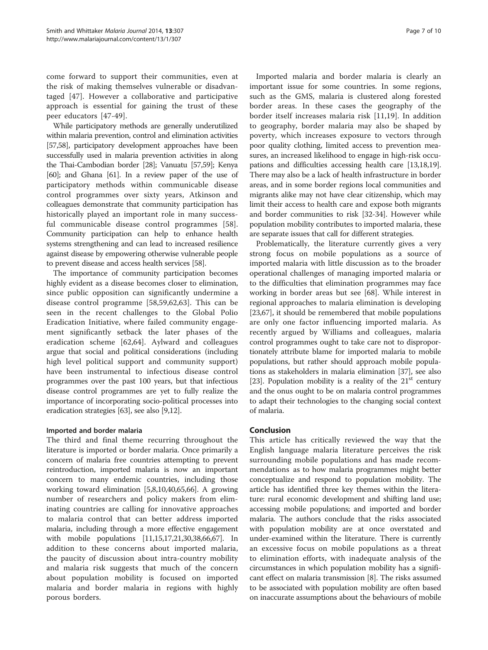come forward to support their communities, even at the risk of making themselves vulnerable or disadvantaged [[47\]](#page-8-0). However a collaborative and participative approach is essential for gaining the trust of these peer educators [\[47](#page-8-0)-[49\]](#page-8-0).

While participatory methods are generally underutilized within malaria prevention, control and elimination activities [[57,58\]](#page-8-0), participatory development approaches have been successfully used in malaria prevention activities in along the Thai-Cambodian border [\[28\]](#page-8-0); Vanuatu [\[57,59\]](#page-8-0); Kenya [[60](#page-8-0)]; and Ghana [\[61\]](#page-8-0). In a review paper of the use of participatory methods within communicable disease control programmes over sixty years, Atkinson and colleagues demonstrate that community participation has historically played an important role in many successful communicable disease control programmes [\[58](#page-8-0)]. Community participation can help to enhance health systems strengthening and can lead to increased resilience against disease by empowering otherwise vulnerable people to prevent disease and access health services [\[58\]](#page-8-0).

The importance of community participation becomes highly evident as a disease becomes closer to elimination, since public opposition can significantly undermine a disease control programme [[58,59,62,63](#page-8-0)]. This can be seen in the recent challenges to the Global Polio Eradication Initiative, where failed community engagement significantly setback the later phases of the eradication scheme [[62](#page-8-0),[64\]](#page-8-0). Aylward and colleagues argue that social and political considerations (including high level political support and community support) have been instrumental to infectious disease control programmes over the past 100 years, but that infectious disease control programmes are yet to fully realize the importance of incorporating socio-political processes into eradication strategies [\[63](#page-8-0)], see also [\[9,12\]](#page-7-0).

## Imported and border malaria

The third and final theme recurring throughout the literature is imported or border malaria. Once primarily a concern of malaria free countries attempting to prevent reintroduction, imported malaria is now an important concern to many endemic countries, including those working toward elimination [[5,8](#page-7-0),[10](#page-7-0)[,40,65,66](#page-8-0)]. A growing number of researchers and policy makers from eliminating countries are calling for innovative approaches to malaria control that can better address imported malaria, including through a more effective engagement with mobile populations [[11,15,17,21,](#page-7-0)[30,38,66,](#page-8-0)[67](#page-9-0)]. In addition to these concerns about imported malaria, the paucity of discussion about intra-country mobility and malaria risk suggests that much of the concern about population mobility is focused on imported malaria and border malaria in regions with highly porous borders.

Imported malaria and border malaria is clearly an important issue for some countries. In some regions, such as the GMS, malaria is clustered along forested border areas. In these cases the geography of the border itself increases malaria risk [[11,19\]](#page-7-0). In addition to geography, border malaria may also be shaped by poverty, which increases exposure to vectors through poor quality clothing, limited access to prevention measures, an increased likelihood to engage in high-risk occupations and difficulties accessing health care [\[13,18,19](#page-7-0)]. There may also be a lack of health infrastructure in border areas, and in some border regions local communities and migrants alike may not have clear citizenship, which may limit their access to health care and expose both migrants and border communities to risk [\[32-34\]](#page-8-0). However while population mobility contributes to imported malaria, these are separate issues that call for different strategies.

Problematically, the literature currently gives a very strong focus on mobile populations as a source of imported malaria with little discussion as to the broader operational challenges of managing imported malaria or to the difficulties that elimination programmes may face working in border areas but see [[68\]](#page-9-0). While interest in regional approaches to malaria elimination is developing [[23](#page-7-0),[67](#page-9-0)], it should be remembered that mobile populations are only one factor influencing imported malaria. As recently argued by Williams and colleagues, malaria control programmes ought to take care not to disproportionately attribute blame for imported malaria to mobile populations, but rather should approach mobile populations as stakeholders in malaria elimination [[37\]](#page-8-0), see also [[23](#page-7-0)]. Population mobility is a reality of the  $21<sup>st</sup>$  century and the onus ought to be on malaria control programmes to adapt their technologies to the changing social context of malaria.

## Conclusion

This article has critically reviewed the way that the English language malaria literature perceives the risk surrounding mobile populations and has made recommendations as to how malaria programmes might better conceptualize and respond to population mobility. The article has identified three key themes within the literature: rural economic development and shifting land use; accessing mobile populations; and imported and border malaria. The authors conclude that the risks associated with population mobility are at once overstated and under-examined within the literature. There is currently an excessive focus on mobile populations as a threat to elimination efforts, with inadequate analysis of the circumstances in which population mobility has a significant effect on malaria transmission [\[8](#page-7-0)]. The risks assumed to be associated with population mobility are often based on inaccurate assumptions about the behaviours of mobile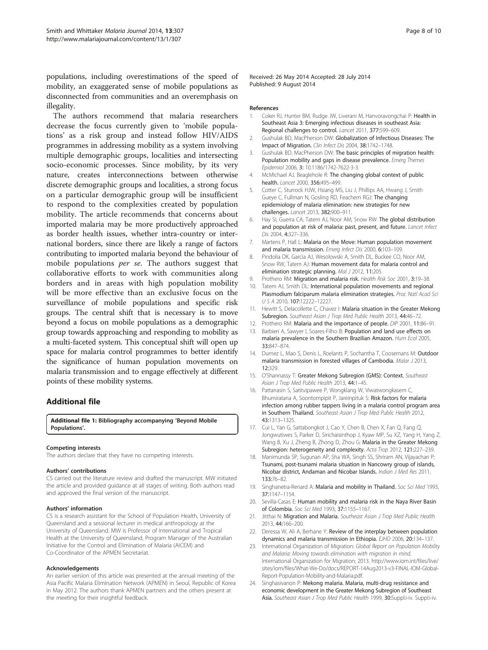<span id="page-7-0"></span>populations, including overestimations of the speed of mobility, an exaggerated sense of mobile populations as disconnected from communities and an overemphasis on illegality.

The authors recommend that malaria researchers decrease the focus currently given to 'mobile populations' as a risk group and instead follow HIV/AIDS programmes in addressing mobility as a system involving multiple demographic groups, localities and intersecting socio-economic processes. Since mobility, by its very nature, creates interconnections between otherwise discrete demographic groups and localities, a strong focus on a particular demographic group will be insufficient to respond to the complexities created by population mobility. The article recommends that concerns about imported malaria may be more productively approached as border health issues, whether intra-country or international borders, since there are likely a range of factors contributing to imported malaria beyond the behaviour of mobile populations per se. The authors suggest that collaborative efforts to work with communities along borders and in areas with high population mobility will be more effective than an exclusive focus on the surveillance of mobile populations and specific risk groups. The central shift that is necessary is to move beyond a focus on mobile populations as a demographic group towards approaching and responding to mobility as a multi-faceted system. This conceptual shift will open up space for malaria control programmes to better identify the significance of human population movements on malaria transmission and to engage effectively at different points of these mobility systems.

## Additional file

[Additional file 1:](http://www.biomedcentral.com/content/supplementary/1475-2875-13-307-S1.pdf) Bibliography accompanying 'Beyond Mobile Populations'.

#### Competing interests

The authors declare that they have no competing interests.

#### Authors' contributions

CS carried out the literature review and drafted the manuscript. MW initiated the article and provided guidance at all stages of writing. Both authors read and approved the final version of the manuscript.

#### Authors' information

CS is a research assistant for the School of Population Health, University of Queensland and a sessional lecturer in medical anthropology at the University of Queensland. MW is Professor of International and Tropical Health at the University of Queensland, Program Manager of the Australian Initiative for the Control and Elimination of Malaria (AICEM) and Co-Coordinator of the APMEN Secretariat.

#### Acknowledgements

An earlier version of this article was presented at the annual meeting of the Asia Pacific Malaria Elimination Network (APMEN) in Seoul, Republic of Korea in May 2012. The authors thank APMEN partners and the others present at the meeting for their insightful feedback.

Received: 26 May 2014 Accepted: 28 July 2014 Published: 9 August 2014

#### References

- 1. Coker RJ, Hunter BM, Rudge JW, Liverani M, Hanvoravongchai P: Health in Southeast Asia 3: Emerging infectious diseases in southeast Asia: Regional challenges to control. Lancet 2011, 377:599-609.
- 2. Gushulak BD, MacPherson DW: Globalization of Infectious Diseases: The Impact of Migration. Clin Infect Dis 2004, 38:1742–1748.
- 3. Gushulak BD, MacPherson DW: The basic principles of migration health: Population mobility and gaps in disease prevalence. Emerg Themes Epidemiol 2006, 3: 10.1186/1742-7622-3-3.
- 4. McMichael AJ, Beaglehole R: The changing global context of public health. Lancet 2000, 356:495–499.
- 5. Cotter C, Sturrock HJW, Hsiang MS, Liu J, Phillips AA, Hwang J, Smith Gueye C, Fullman N, Gosling RD, Feachem RGJ: The changing epidemiology of malaria elimination: new strategies for new challenges. Lancet 2013, 382:900–911.
- 6. Hay SI, Guerra CA, Tatem AJ, Noor AM, Snow RW: The global distribution and population at risk of malaria: past, present, and future. Lancet Infect Dis 2004, 4:327–336.
- 7. Martens P, Hall L: Malaria on the Move: Human population movement and malaria transmission. Emerg Infect Dis 2000, 6:103–109.
- 8. Pindolia DK, Garcia AJ, Wesolowski A, Smith DL, Buckee CO, Noor AM, Snow RW, Tatem AJ: Human movement data for malaria control and elimination strategic planning. Mal J 2012, 11:205.
- 9. Prothero RM: Migration and malaria risk. Health Risk Soc 2001, 3:19-38.
- 10. Tatem AJ, Smith DL: International population movements and regional Plasmodium falciparum malaria elimination strategies. Proc Natl Acad Sci USA 2010, 107:12222–12227.
- 11. Hewitt S, Delacollette C, Chavez I: Malaria situation in the Greater Mekong Subregion. Southeast Asian J Trop Med Public Health 2013, 44:46-72.
- 12. Prothero RM: Malaria and the importance of people. DIP 2001, 11:86-91.
- 13. Barbieri A, Sawyer I, Soares-Filho B: Population and land use effects on malaria prevalence in the Southern Brazilian Amazon. Hum Ecol 2005, 33:847–874.
- 14. Durnez L, Mao S, Denis L, Roelants P, Sochantha T, Coosemans M: Outdoor malaria transmission in forested villages of Cambodia. Malar J 2013,  $12.329$
- 15. O'Shannassy T: Greater Mekong Subregion (GMS): Context. Southeast Asian J Trop Med Public Health 2013, 44:1–45.
- 16. Pattanasin S, Satitvipawee P, Wongklang W, Viwatwongkasem C, Bhumiratana A, Soontornpipit P, Jareinpituk S: Risk factors for malaria infection among rubber tappers living in a malaria control program area in Southern Thailand. Southeast Asian J Trop Med Public Health 2012, 43:1313–1325.
- 17. Cui L, Yan G, Sattabongkot J, Cao Y, Chen B, Chen X, Fan Q, Fang Q, Jongwutiwes S, Parker D, Sirichaisinthop J, Kyaw MP, Su XZ, Yang H, Yang Z, Wang B, Xu J, Zheng B, Zhong D, Zhou G: Malaria in the Greater Mekong Subregion: heterogeneity and complexity. Acta Trop 2012, 121:227–239.
- 18. Manimunda SP, Sugunan AP, Sha WA, Singh SS, Shriram AN, Vijayachari P: Tsunami, post-tsunami malaria situation in Nancowry group of islands, Nicobar district, Andaman and Nicobar Islands. Indian J Med Res 2011, 133:76–82.
- 19. Singhanetra-Renard A: Malaria and mobility in Thailand. Soc Sci Med 1993, 37:1147–1154.
- 20. Sevilla-Casas E: Human mobility and malaria risk in the Naya River Basin of Colombia. Soc Sci Med 1993, 37:1155–1167.
- 21. Jitthai N: Migration and Malaria. Southeast Asian J Trop Med Public Health 2013, 44:166–200.
- 22. Deressa W, Ali A, Berhane Y: Review of the interplay between population dynamics and malaria transmission in Ethiopia. EJHD 2006, 20:134–137.
- 23. International Organization of Migration: Global Report on Population Mobility and Malaria: Moving towards elimination with migration in mind. International Organization for Migration; 2013. [http://www.iom.int/files/live/](http://www.iom.int/files/live/sites/iom/files/What-We-Do/docs/REPORT-14Aug2013-v3-FINAL-IOM-Global-Report-Population-Mobility-and-Malaria.pdf) [sites/iom/files/What-We-Do/docs/REPORT-14Aug2013-v3-FINAL-IOM-Global-](http://www.iom.int/files/live/sites/iom/files/What-We-Do/docs/REPORT-14Aug2013-v3-FINAL-IOM-Global-Report-Population-Mobility-and-Malaria.pdf)[Report-Population-Mobility-and-Malaria.pdf](http://www.iom.int/files/live/sites/iom/files/What-We-Do/docs/REPORT-14Aug2013-v3-FINAL-IOM-Global-Report-Population-Mobility-and-Malaria.pdf).
- 24. Singhasivanon P: Mekong malaria. Malaria, multi-drug resistance and economic development in the Greater Mekong Subregion of Southeast Asia. Southeast Asian J Trop Med Public Health 1999, 30:Suppl:i-iv. Suppl:i-iv.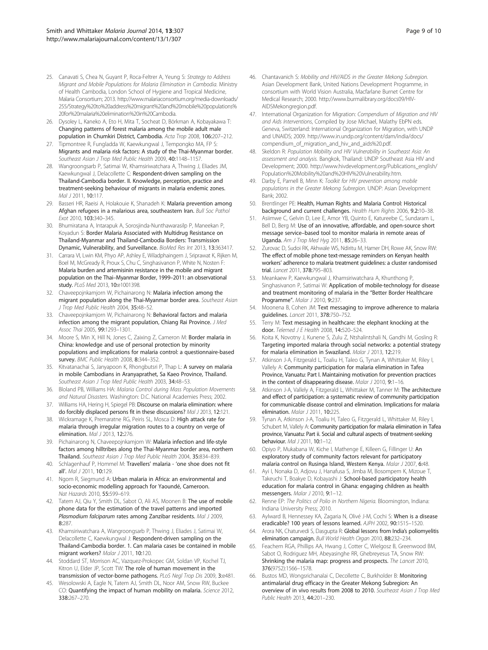- <span id="page-8-0"></span>25. Canavati S, Chea N, Guyant P, Roca-Feltrer A, Yeung S: Strategy to Address Migrant and Mobile Populations for Malaria Elimination in Cambodia. Ministry of Health Cambodia, London School of Hygiene and Tropical Medicine, Malaria Consortium; 2013. [http://www.malariaconsortium.org/media-downloads/](http://www.malariaconsortium.org/media-downloads/255/Strategy%20to%20address%20migrant%20and%20mobile%20populations%20for%20malaria%20elimination%20in%20Cambodia) [255/Strategy%20to%20address%20migrant%20and%20mobile%20populations%](http://www.malariaconsortium.org/media-downloads/255/Strategy%20to%20address%20migrant%20and%20mobile%20populations%20for%20malaria%20elimination%20in%20Cambodia) [20for%20malaria%20elimination%20in%20Cambodia](http://www.malariaconsortium.org/media-downloads/255/Strategy%20to%20address%20migrant%20and%20mobile%20populations%20for%20malaria%20elimination%20in%20Cambodia).
- 26. Dysoley L, Kaneko A, Eto H, Mita T, Socheat D, Börkman A, Kobayakawa T: Changing patterns of forest malaria among the mobile adult male population in Chumkiri District, Cambodia. Acta Trop 2008, 106:207–212.
- 27. Tipmontree R, Fungladda W, Kaewkungwal J, Tempongko MA, FP S: Migrants and malaria risk factors: A study of the Thai-Myanmar border. Southeast Asian J Trop Med Public Health 2009, 40:1148–1157.
- 28. Wangroongsarb P, Satimai W, Khamsiriwatchara A, Thwing J, Eliades JM, Kaewkungwal J, Delacollette C: Respondent-driven sampling on the Thailand-Cambodia border. II. Knowledge, perception, practice and treatment-seeking behaviour of migrants in malaria endemic zones. Mal 12011, 10:117
- 29. Basseri HR, Raeisi A, Holakouie K, Shanadeh K: Malaria prevention among Afghan refugees in a malarious area, southeastern Iran. Bull Soc Pathol Exot 2010, 103:340–345.
- 30. Bhumiratana A, Intarapuk A, Sorosjinda-Nunthawarasilp P, Maneekan P, Koyadun S: Border Malaria Associated with Multidrug Resistance on Thailand-Myanmar and Thailand-Cambodia Borders: Transmission Dynamic, Vulnerability, and Surveillance. BioMed Res Int 2013, 13:363417.
- 31. Carrara VI, Lwin KM, Phyo AP, Ashley E, Wiladphaingern J, Sriprawat K, Rijken M, Boel M, McGready R, Proux S, Chu C, Singhasivanon P, White N, Nosten F: Malaria burden and artemisinin resistance in the mobile and migrant population on the Thai–Myanmar Border, 1999–2011: an observational study. PLoS Med 2013, 10:e1001398.
- 32. Chaveepojnkamjorn W, Pichainarong N: Malaria infection among the migrant population along the Thai-Myanmar border area. Southeast Asian J Trop Med Public Health 2004, 35:48-52.
- 33. Chaveepojnkamjorn W, Pichainarong N: Behavioral factors and malaria infection among the migrant population, Chiang Rai Province. J Med Assoc Thai 2005, 99:1293–1301.
- 34. Moore S, Min X, Hill N, Jones C, Zaixing Z, Cameron M: Border malaria in China: knowledge and use of personal protection by minority populations and implications for malaria control: a questionnaire-based survey. BMC Public Health 2008, 8:344-352.
- 35. Kitvatanachai S, Janyapoon K, Rhongbutsri P, Thap L: A survey on malaria in mobile Cambodians in Aranyaprathet, Sa Kaeo Province, Thailand. Southeast Asian J Trop Med Public Health 2003, 34:48–53.
- 36. Bloland PB, Williams HA: Malaria Control during Mass Population Movements and Natural Disasters. Washington: D.C. National Academies Press; 2002.
- 37. Williams HA, Hering H, Spiegel PB: Discourse on malaria elimination: where do forcibly displaced persons fit in these discussions? Mal J 2013, 12:121.
- 38. Wickramage K, Premaratne RG, Peiris SL, Mosca D: High attack rate for malaria through irregular migration routes to a country on verge of elimination. Mal J 2013, 12:276.
- 39. Pichainarong N, Chaveepojnkamjorn W: Malaria infection and life-style factors among hilltribes along the Thai-Myanmar border area, northern Thailand. Southeast Asian J Trop Med Public Health 2004, 35:834–839.
- 40. Schlagenhauf P, Hommel M: Travellers' malaria 'one shoe does not fit all'. Mal J 2011, 10:129.
- 41. Ngom R, Siegmund A: Urban malaria in Africa: an environmental and socio-economic modelling approach for Yaoundé, Cameroon. Nat Hazards 2010, 55:599–619.
- 42. Tatem AJ, Qiu Y, Smith DL, Sabot O, Ali AS, Moonen B: The use of mobile phone data for the estimation of the travel patterns and imported Plasmodium falciparum rates among Zanzibar residents. Mal J 2009, 8:287.
- 43. Khamsiriwatchara A, Wangroongsarb P, Thwing J, Eliades J, Satimai W, Delacollette C, Kaewkungwal J: Respondent-driven sampling on the Thailand-Cambodia border. 1. Can malaria cases be contained in mobile migrant workers? Malar J 2011, 10:120.
- 44. Stoddard ST, Morrison AC, Vazquez-Prokopec GM, Soldan VP, Kochel TJ, Kitron U, Elder JP, Scott TW: The role of human movement in the transmission of vector-borne pathogens. PLoS Negl Trop Dis 2009, 3:e481.
- 45. Wesolowski A, Eagle N, Tatem AJ, Smith DL, Noor AM, Snow RW, Buckee CO: Quantifying the impact of human mobility on malaria. Science 2012, 338:267–270.
- 46. Chantavanich S: Mobility and HIV/AIDS in the Greater Mekong Subregion. Asian Development Bank, United Nations Development Programme, in consortium with World Vision Australia, Macfarlane Burnet Centre for Medical Research; 2000. [http://www.burmalibrary.org/docs09/HIV-](http://www.burmalibrary.org/docs09/HIV-AIDSMekongregion.pdf)[AIDSMekongregion.pdf.](http://www.burmalibrary.org/docs09/HIV-AIDSMekongregion.pdf)
- 47. International Organization for Migration: Compendium of Migration and HIV and Aids Interventions, Compiled by Jose Michael, Malathy EbPN eds. Geneva, Switzerland: International Organization for Migration, with UNDP and UNAIDS; 2009. [http://www.in.undp.org/content/dam/india/docs/](http://www.in.undp.org/content/dam/india/docs/compendium_of_migration_and_hiv_and_aids%20.pdf) [compendium\\_of\\_migration\\_and\\_hiv\\_and\\_aids%20.pdf.](http://www.in.undp.org/content/dam/india/docs/compendium_of_migration_and_hiv_and_aids%20.pdf)
- 48. Skeldon R: Population Mobility and HIV Vulnerability in Southeast Asia: An assessment and analysis. Bangkok, Thailand: UNDP Southeast Asia HIV and Development; 2000. [http://www.hivdevelopment.org/Publications\\_english/](http://www.hivdevelopment.org/Publications_english/Population%20Mobility%20and%20HIV%20Vulnerability.htm) [Population%20Mobility%20and%20HIV%20Vulnerability.htm](http://www.hivdevelopment.org/Publications_english/Population%20Mobility%20and%20HIV%20Vulnerability.htm).
- 49. Darby E, Parnell B, Minn K: Toolkit for HIV prevention among mobile populations in the Greater Mekong Subregion. UNDP: Asian Development Bank; 2002.
- 50. Brentlinger PE: Health, Human Rights and Malaria Control: Historical background and current challenges. Health Hum Rights 2006, 9.2:10–38.
- 51. Asiimwe C, Gelvin D, Lee E, Amor YB, Quinto E, Katureebe C, Sundaram L, Bell D, Berg M: Use of an innovative, affordable, and open-source short message service–based tool to monitor malaria in remote areas of Uganda. Am J Trop Med Hyg 2011, 85:26–33.
- 52. Zurovac D, Sudoi RK, Akhwale WS, Ndiritu M, Hamer DH, Rowe AK, Snow RW: The effect of mobile phone text-message reminders on Kenyan health workers' adherence to malaria treatment guidelines: a cluster randomised trial. Lancet 2011, 378:795–803.
- 53. Meankaew P, Kaewkungwal J, Khamsiriwatchara A, Khunthong P, Singhasivanon P, Satimai W: Application of mobile-technology for disease and treatment monitoring of malaria in the "Better Border Healthcare Programme". Malar J 2010, 9:237.
- 54. Moonena B, Cohen JM: Text messaging to improve adherence to malaria guidelines. Lancet 2011, 378:750–752.
- 55. Terry M: Text messaging in healthcare: the elephant knocking at the door. Telemed J E Health 2008, 14:520–524.
- 56. Koita K, Novotny J, Kunene S, Zulu Z, Ntshalintshali N, Gandhi M, Gosling R: Targeting imported malaria through social networks: a potential strategy for malaria elimination in Swaziland. Malar J 2013, 12:219.
- 57. Atkinson J-A, Fitzgerald L, Toaliu H, Taleo G, Tynan A, Whittaker M, Riley I, Vallely A: Community participation for malaria elimination in Tafea Province, Vanuatu: Part I. Maintaining motivation for prevention practices in the context of disappearing disease. Malar J 2010, 9:1-16.
- Atkinson J-A, Vallely A, Fitzgerald L, Whittaker M, Tanner M: The architecture and effect of participation: a systematic review of community participation for communicable disease control and elimination. Implications for malaria elimination. Malar J 2011, 10:225.
- 59. Tynan A, Atkinson J-A, Toaliu H, Taleo G, Fitzgerald L, Whittaker M, Riley I, Schubert M, Vallely A: Community participation for malaria elimination in Tafea province, Vanuatu: Part ii. Social and cultural aspects of treatment-seeking behaviour. Mal J 2011, 10:1-12.
- 60. Opiyo P, Mukabana W, Kiche I, Mathenge E, Killeen G, Fillinger U: An exploratory study of community factors relevant for participatory malaria control on Rusinga Island, Western Kenya. Malar J 2007, 6:48.
- 61. Ayi I, Nonaka D, Adjovu J, Hanafusa S, Jimba M, Bosompem K, Mizoue T, Takeuchi T, Boakye D, Kobayashi J: School-based participatory health education for malaria control in Ghana: engaging children as health messengers. Malar J 2010, 9:1-12.
- 62. Renne EP: The Politics of Polio in Northern Nigeria. Bloomington, Indiana: Indiana University Press; 2010.
- 63. Aylward B, Hennessey KA, Zagaria N, Olivé J-M, Cochi S: When is a disease eradicable? 100 years of lessons learned. AJPH 2002, 90:1515–1520.
- 64. Arora NK, Chaturvedi S, Dasgupta R: Global lessons from India's poliomyelitis elimination campaign. Bull World Health Organ 2010, 88:232–234.
- 65. Feachem RGA, Phillips AA, Hwang J, Cotter C, Wielgosz B, Greenwood BM, Sabot O, Rodriguez MH, Abeyasinghe RR, Ghebreyesus TA, Snow RW: Shrinking the malaria map: progress and prospects. The Lancet 2010, 376(9752):1566–1578.
- 66. Bustos MD, Wongsrichanalai C, Decollette C, Burkholder B: Monitoring antimalarial drug efficacy in the Greater Mekong Subregion: An overview of in vivo results from 2008 to 2010. Southeast Asian J Trop Med Public Health 2013, 44:201–230.